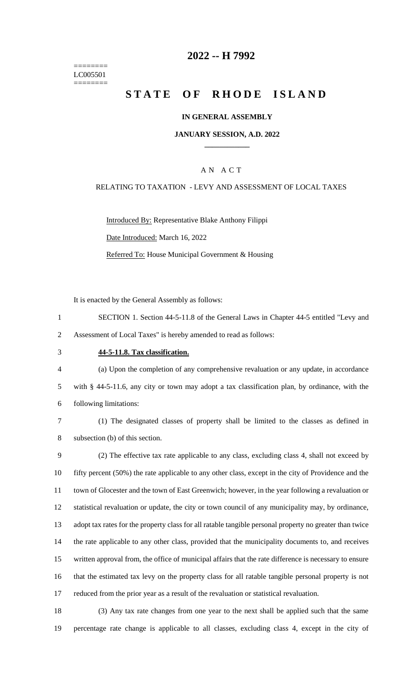======== LC005501 ========

## **-- H 7992**

# **STATE OF RHODE ISLAND**

### **IN GENERAL ASSEMBLY**

### **JANUARY SESSION, A.D. 2022 \_\_\_\_\_\_\_\_\_\_\_\_**

### A N A C T

#### RELATING TO TAXATION - LEVY AND ASSESSMENT OF LOCAL TAXES

Introduced By: Representative Blake Anthony Filippi Date Introduced: March 16, 2022 Referred To: House Municipal Government & Housing

It is enacted by the General Assembly as follows:

- SECTION 1. Section 44-5-11.8 of the General Laws in Chapter 44-5 entitled "Levy and Assessment of Local Taxes" is hereby amended to read as follows:
- 

#### **44-5-11.8. Tax classification.**

 (a) Upon the completion of any comprehensive revaluation or any update, in accordance with § 44-5-11.6, any city or town may adopt a tax classification plan, by ordinance, with the following limitations:

 (1) The designated classes of property shall be limited to the classes as defined in subsection (b) of this section.

 (2) The effective tax rate applicable to any class, excluding class 4, shall not exceed by fifty percent (50%) the rate applicable to any other class, except in the city of Providence and the town of Glocester and the town of East Greenwich; however, in the year following a revaluation or statistical revaluation or update, the city or town council of any municipality may, by ordinance, adopt tax rates for the property class for all ratable tangible personal property no greater than twice the rate applicable to any other class, provided that the municipality documents to, and receives written approval from, the office of municipal affairs that the rate difference is necessary to ensure that the estimated tax levy on the property class for all ratable tangible personal property is not reduced from the prior year as a result of the revaluation or statistical revaluation.

 (3) Any tax rate changes from one year to the next shall be applied such that the same percentage rate change is applicable to all classes, excluding class 4, except in the city of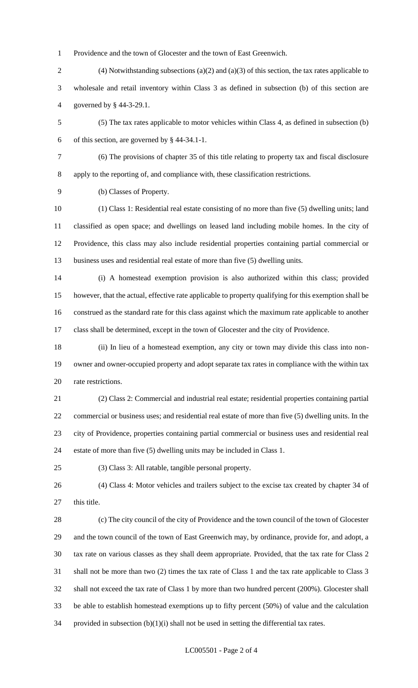Providence and the town of Glocester and the town of East Greenwich.

- (4) Notwithstanding subsections (a)(2) and (a)(3) of this section, the tax rates applicable to wholesale and retail inventory within Class 3 as defined in subsection (b) of this section are governed by § 44-3-29.1.
- (5) The tax rates applicable to motor vehicles within Class 4, as defined in subsection (b) of this section, are governed by § 44-34.1-1.
- 

 (6) The provisions of chapter 35 of this title relating to property tax and fiscal disclosure apply to the reporting of, and compliance with, these classification restrictions.

(b) Classes of Property.

 (1) Class 1: Residential real estate consisting of no more than five (5) dwelling units; land classified as open space; and dwellings on leased land including mobile homes. In the city of Providence, this class may also include residential properties containing partial commercial or business uses and residential real estate of more than five (5) dwelling units.

 (i) A homestead exemption provision is also authorized within this class; provided however, that the actual, effective rate applicable to property qualifying for this exemption shall be construed as the standard rate for this class against which the maximum rate applicable to another class shall be determined, except in the town of Glocester and the city of Providence.

 (ii) In lieu of a homestead exemption, any city or town may divide this class into non- owner and owner-occupied property and adopt separate tax rates in compliance with the within tax rate restrictions.

 (2) Class 2: Commercial and industrial real estate; residential properties containing partial commercial or business uses; and residential real estate of more than five (5) dwelling units. In the city of Providence, properties containing partial commercial or business uses and residential real estate of more than five (5) dwelling units may be included in Class 1.

(3) Class 3: All ratable, tangible personal property.

 (4) Class 4: Motor vehicles and trailers subject to the excise tax created by chapter 34 of 27 this title.

 (c) The city council of the city of Providence and the town council of the town of Glocester and the town council of the town of East Greenwich may, by ordinance, provide for, and adopt, a tax rate on various classes as they shall deem appropriate. Provided, that the tax rate for Class 2 shall not be more than two (2) times the tax rate of Class 1 and the tax rate applicable to Class 3 shall not exceed the tax rate of Class 1 by more than two hundred percent (200%). Glocester shall be able to establish homestead exemptions up to fifty percent (50%) of value and the calculation 34 provided in subsection  $(b)(1)(i)$  shall not be used in setting the differential tax rates.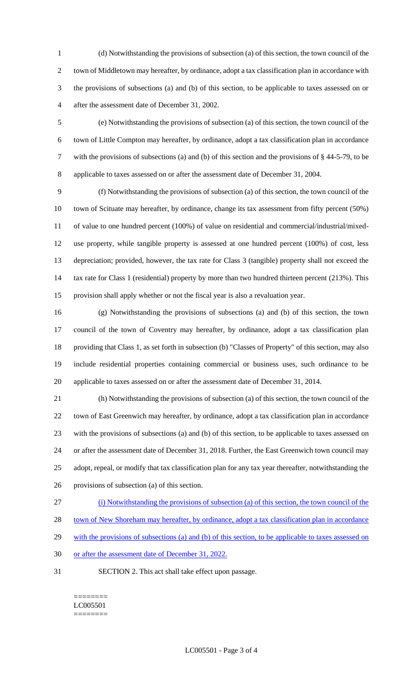(d) Notwithstanding the provisions of subsection (a) of this section, the town council of the town of Middletown may hereafter, by ordinance, adopt a tax classification plan in accordance with the provisions of subsections (a) and (b) of this section, to be applicable to taxes assessed on or after the assessment date of December 31, 2002.

 (e) Notwithstanding the provisions of subsection (a) of this section, the town council of the town of Little Compton may hereafter, by ordinance, adopt a tax classification plan in accordance with the provisions of subsections (a) and (b) of this section and the provisions of § 44-5-79, to be applicable to taxes assessed on or after the assessment date of December 31, 2004.

 (f) Notwithstanding the provisions of subsection (a) of this section, the town council of the town of Scituate may hereafter, by ordinance, change its tax assessment from fifty percent (50%) of value to one hundred percent (100%) of value on residential and commercial/industrial/mixed- use property, while tangible property is assessed at one hundred percent (100%) of cost, less depreciation; provided, however, the tax rate for Class 3 (tangible) property shall not exceed the 14 tax rate for Class 1 (residential) property by more than two hundred thirteen percent (213%). This provision shall apply whether or not the fiscal year is also a revaluation year.

 (g) Notwithstanding the provisions of subsections (a) and (b) of this section, the town council of the town of Coventry may hereafter, by ordinance, adopt a tax classification plan providing that Class 1, as set forth in subsection (b) "Classes of Property" of this section, may also include residential properties containing commercial or business uses, such ordinance to be applicable to taxes assessed on or after the assessment date of December 31, 2014.

 (h) Notwithstanding the provisions of subsection (a) of this section, the town council of the town of East Greenwich may hereafter, by ordinance, adopt a tax classification plan in accordance with the provisions of subsections (a) and (b) of this section, to be applicable to taxes assessed on or after the assessment date of December 31, 2018. Further, the East Greenwich town council may adopt, repeal, or modify that tax classification plan for any tax year thereafter, notwithstanding the provisions of subsection (a) of this section.

(i) Notwithstanding the provisions of subsection (a) of this section, the town council of the

town of New Shoreham may hereafter, by ordinance, adopt a tax classification plan in accordance

29 with the provisions of subsections (a) and (b) of this section, to be applicable to taxes assessed on

- or after the assessment date of December 31, 2022.
- SECTION 2. This act shall take effect upon passage.

======== LC005501 ========